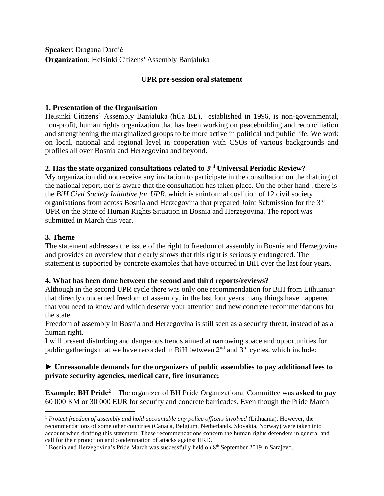**Speaker**: Dragana Dardić **Organization**: Helsinki Citizens' Assembly Banjaluka

# **UPR pre-session oral statement**

## **1. Presentation of the Organisation**

Helsinki Citizens' Assembly Banjaluka (hCa BL), established in 1996, is non-governmental, non-profit, human rights organization that has been working on peacebuilding and reconciliation and strengthening the marginalized groups to be more active in political and public life. We work on local, national and regional level in cooperation with CSOs of various backgrounds and profiles all over Bosnia and Herzegovina and beyond.

# **2. Has the state organized consultations related to 3 rd Universal Periodic Review?**

My organization did not receive any invitation to participate in the consultation on the drafting of the national report, nor is aware that the consultation has taken place. On the other hand , there is the *BiH Civil Society Initiative for UPR,* which is aninformal coalition of 12 civil society organisations from across Bosnia and Herzegovina that prepared Joint Submission for the 3rd UPR on the State of Human Rights Situation in Bosnia and Herzegovina. The report was submitted in March this year.

### **3. Theme**

The statement addresses the issue of the right to freedom of assembly in Bosnia and Herzegovina and provides an overview that clearly shows that this right is seriously endangered. The statement is supported by concrete examples that have occurred in BiH over the last four years.

# **4. What has been done between the second and third reports/reviews?**

Although in the second UPR cycle there was only one recommendation for BiH from Lithuania<sup>1</sup> that directly concerned freedom of assembly, in the last four years many things have happened that you need to know and which deserve your attention and new concrete recommendations for the state.

Freedom of assembly in Bosnia and Herzegovina is still seen as a security threat, instead of as a human right.

I will present disturbing and dangerous trends aimed at narrowing space and opportunities for public gatherings that we have recorded in BiH between  $2<sup>nd</sup>$  and  $3<sup>rd</sup>$  cycles, which include:

# ► **Unreasonable demands for the organizers of public assemblies to pay additional fees to private security agencies, medical care, fire insurance;**

**Example: BH Pride**<sup>2</sup> – The organizer of BH Pride Organizational Committee was asked to pay 60 000 KM or 30 000 EUR for security and concrete barricades. Even though the Pride March

<sup>1</sup> *Protect freedom of assembly and hold accountable any police officers involved* (Lithuania). However, the recommendations of some other countries (Canada, Belgium, Netherlands. Slovakia, Norway) were taken into account when drafting this statement. These recommendations concern the human rights defenders in general and call for their protection and condemnation of attacks against HRD.

<sup>&</sup>lt;sup>2</sup> Bosnia and Herzegovina's Pride March was successfully held on 8<sup>th</sup> September 2019 in Sarajevo.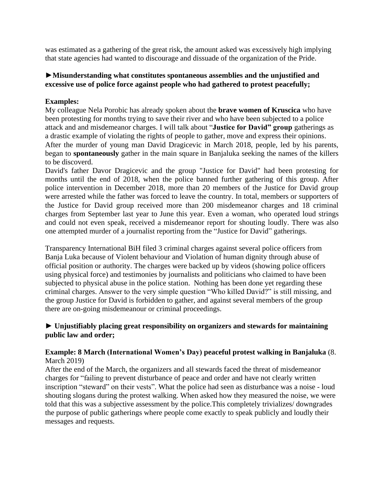was estimated as a gathering of the great risk, the amount asked was excessively high implying that state agencies had wanted to discourage and dissuade of the organization of the Pride.

## ►**Misunderstanding what constitutes spontaneous assemblies and the unjustified and excessive use of police force against people who had gathered to protest peacefully;**

### **Examples:**

My colleague Nela Porobic has already spoken about the **brave women of Kruscica** who have been protesting for months trying to save their river and who have been subjected to a police attack and and misdemeanor charges. I will talk about "**Justice for David" group** gatherings as a drastic example of violating the rights of people to gather, move and express their opinions. After the murder of young man David Dragicevic in March 2018, people, led by his parents, began to **spontaneously** gather in the main square in Banjaluka seeking the names of the killers to be discoverd.

David's father Davor Dragicevic and the group "Justice for David" had been protesting for months until the end of 2018, when the police banned further gathering of this group. After police intervention in December 2018, more than 20 members of the Justice for David group were arrested while the father was forced to leave the country. In total, members or supporters of the Justice for David group received more than 200 misdemeanor charges and 18 criminal charges from September last year to June this year. Even a woman, who operated loud strings and could not even speak, received a misdemeanor report for shouting loudly. There was also one attempted murder of a journalist reporting from the "Justice for David" gatherings.

Transparency International BiH filed 3 criminal charges against several police officers from Banja Luka because of Violent behaviour and Violation of human dignity through abuse of official position or authority. The charges were backed up by videos (showing police officers using physical force) and testimonies by journalists and politicians who claimed to have been subjected to physical abuse in the police station. Nothing has been done yet regarding these criminal charges. Answer to the very simple question "Who killed David?" is still missing, and the group Justice for David is forbidden to gather, and against several members of the group there are on-going misdemeanour or criminal proceedings.

### ► **Unjustifiably placing great responsibility on organizers and stewards for maintaining public law and order;**

#### **Example: 8 March (International Women's Day) peaceful protest walking in Banjaluka** (8. March 2019)

After the end of the March, the organizers and all stewards faced the threat of misdemeanor charges for "failing to prevent disturbance of peace and order and have not clearly written inscription "steward" on their vests". What the police had seen as disturbance was a noise - loud shouting slogans during the protest walking. When asked how they measured the noise, we were told that this was a subjective assessment by the police.This completely trivializes/ downgrades the purpose of public gatherings where people come exactly to speak publicly and loudly their messages and requests.